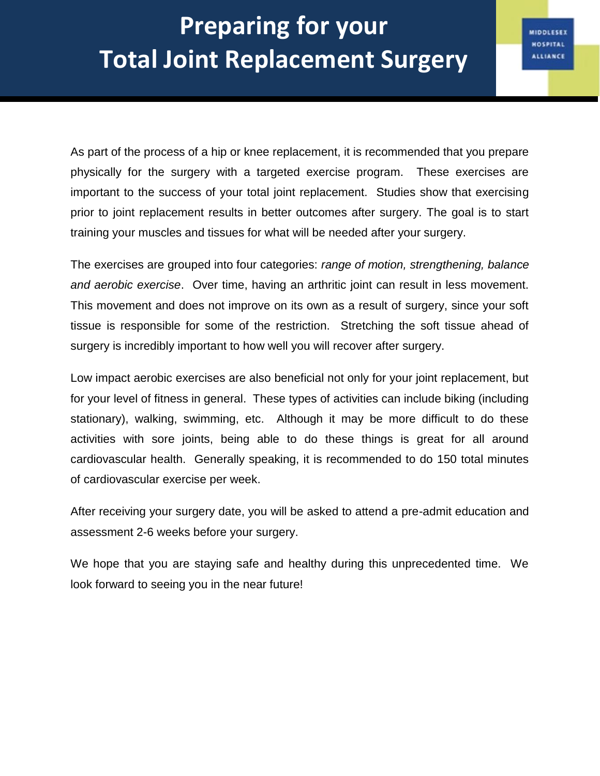MIDDLESEX **HOSPITAL ALLIANCE** 

As part of the process of a hip or knee replacement, it is recommended that you prepare physically for the surgery with a targeted exercise program. These exercises are important to the success of your total joint replacement. Studies show that exercising prior to joint replacement results in better outcomes after surgery. The goal is to start training your muscles and tissues for what will be needed after your surgery.

The exercises are grouped into four categories: *range of motion, strengthening, balance and aerobic exercise*. Over time, having an arthritic joint can result in less movement. This movement and does not improve on its own as a result of surgery, since your soft tissue is responsible for some of the restriction. Stretching the soft tissue ahead of surgery is incredibly important to how well you will recover after surgery.

Low impact aerobic exercises are also beneficial not only for your joint replacement, but for your level of fitness in general. These types of activities can include biking (including stationary), walking, swimming, etc. Although it may be more difficult to do these activities with sore joints, being able to do these things is great for all around cardiovascular health. Generally speaking, it is recommended to do 150 total minutes of cardiovascular exercise per week.

After receiving your surgery date, you will be asked to attend a pre-admit education and assessment 2-6 weeks before your surgery.

We hope that you are staying safe and healthy during this unprecedented time. We look forward to seeing you in the near future!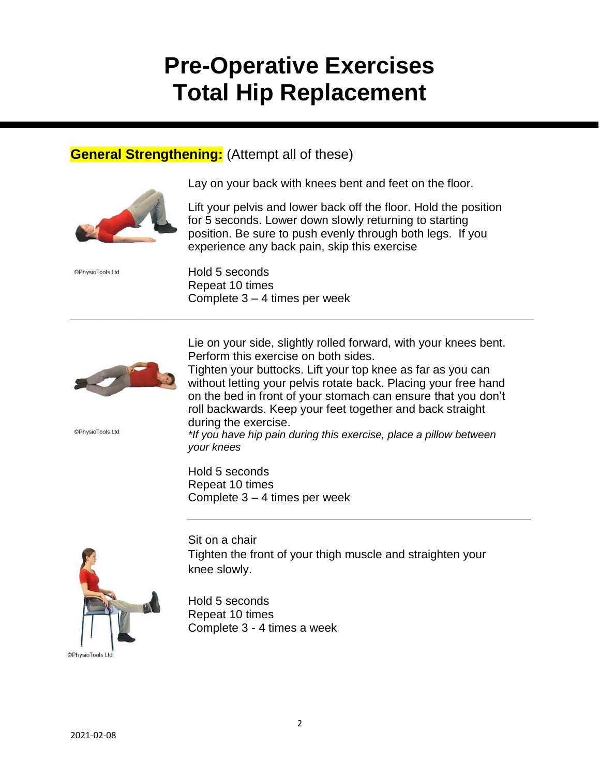# **Pre-Operative Exercises Total Hip Replacement**

## **General Strengthening:** (Attempt all of these)



Lay on your back with knees bent and feet on the floor.

Lift your pelvis and lower back off the floor. Hold the position for 5 seconds. Lower down slowly returning to starting position. Be sure to push evenly through both legs. If you experience any back pain, skip this exercise

Hold 5 seconds Repeat 10 times Complete 3 – 4 times per week



©PhysioTools Ltd

©PhysioTools Ltd

Lie on your side, slightly rolled forward, with your knees bent. Perform this exercise on both sides.

Tighten your buttocks. Lift your top knee as far as you can without letting your pelvis rotate back. Placing your free hand on the bed in front of your stomach can ensure that you don't roll backwards. Keep your feet together and back straight during the exercise.

*\*If you have hip pain during this exercise, place a pillow between your knees*

Hold 5 seconds Repeat 10 times Complete 3 – 4 times per week



Sit on a chair Tighten the front of your thigh muscle and straighten your knee slowly.

Hold 5 seconds Repeat 10 times Complete 3 - 4 times a week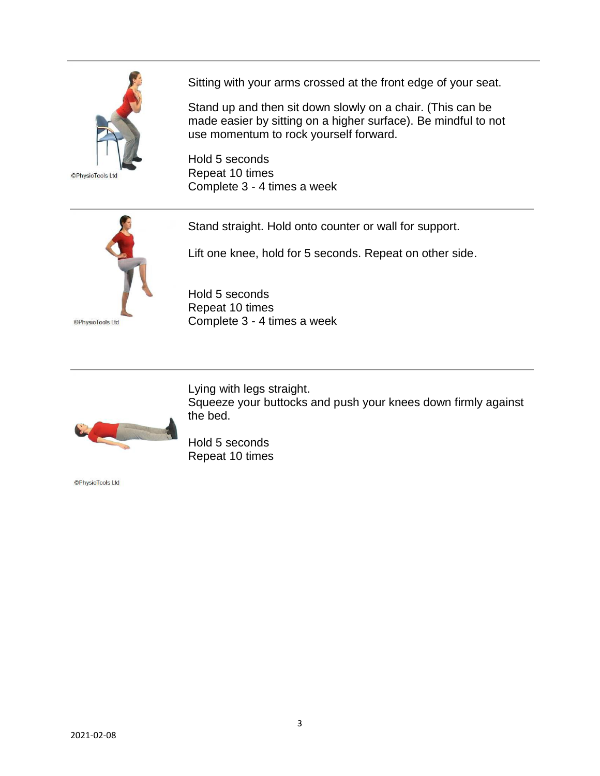

©PhysioTools Ltd

Sitting with your arms crossed at the front edge of your seat.

Stand up and then sit down slowly on a chair. (This can be made easier by sitting on a higher surface). Be mindful to not use momentum to rock yourself forward.

Hold 5 seconds Repeat 10 times Complete 3 - 4 times a week



Stand straight. Hold onto counter or wall for support.

Lift one knee, hold for 5 seconds. Repeat on other side.

Squeeze your buttocks and push your knees down firmly against

Hold 5 seconds Repeat 10 times Complete 3 - 4 times a week



Hold 5 seconds Repeat 10 times

the bed.

Lying with legs straight.

**OPhysioTools Ltd**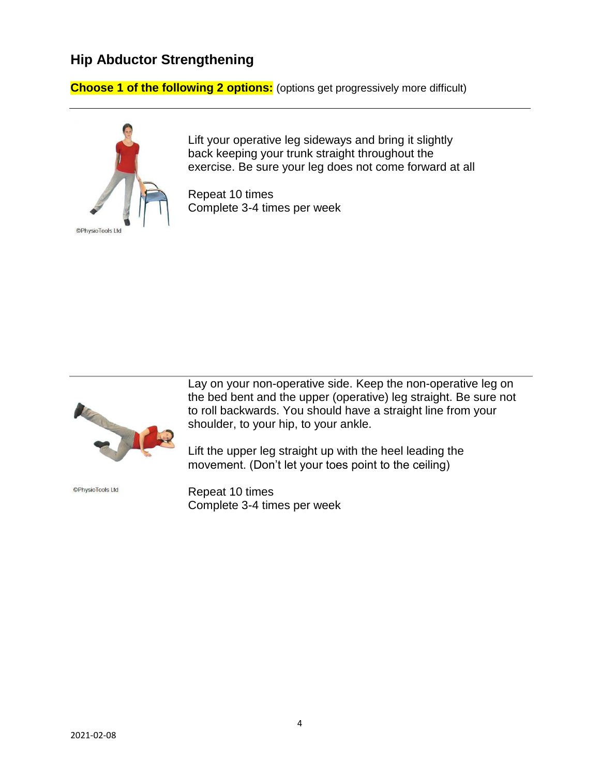## **Hip Abductor Strengthening**

**Choose 1 of the following 2 options:** (options get progressively more difficult)



Lift your operative leg sideways and bring it slightly back keeping your trunk straight throughout the exercise. Be sure your leg does not come forward at all

Repeat 10 times Complete 3-4 times per week



©PhysioTools Ltd

Lay on your non-operative side. Keep the non-operative leg on the bed bent and the upper (operative) leg straight. Be sure not to roll backwards. You should have a straight line from your shoulder, to your hip, to your ankle.

Lift the upper leg straight up with the heel leading the movement. (Don't let your toes point to the ceiling)

Repeat 10 times Complete 3-4 times per week